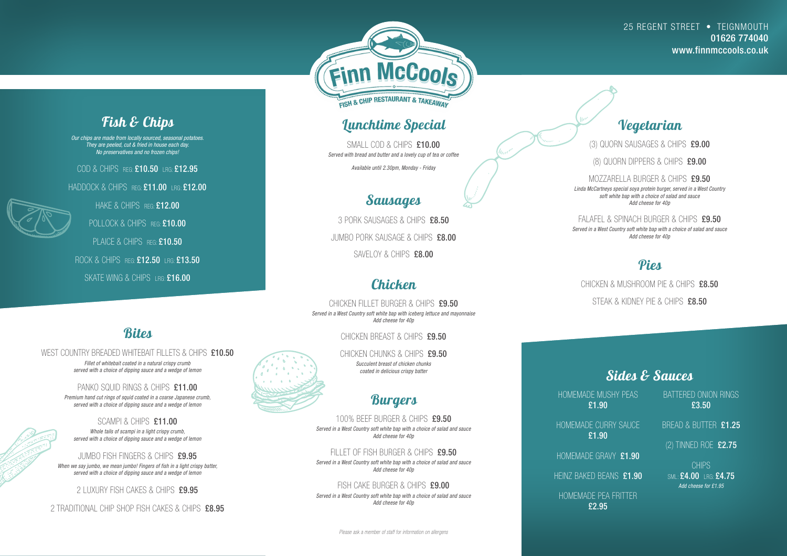#### *Bites*

WEST COUNTRY BREADED WHITEBAIT FILLETS & CHIPS £10.50

*Fillet of whitebait coated in a natural crispy crumb served with a choice of dipping sauce and a wedge of lemon*

PANKO SOUID RINGS & CHIPS £11.00 *Premium hand cut rings of squid coated in a coarse Japanese crumb, served with a choice of dipping sauce and a wedge of lemon*

#### SCAMPI & CHIPS £11.00

*Whole tails of scampi in a light crispy crumb, served with a choice of dipping sauce and a wedge of lemon*

SMALL COD & CHIPS £10.00 *Served with bread and butter and a lovely cup of tea or coffee*

3 PORK SAUSAGES & CHIPS £8.50 JUMBO PORK SAUSAGE & CHIPS £8.00 SAVELOY & CHIPS £8.00

JUMBO FISH FINGERS & CHIPS £9.95

CHICKEN FILLET BURGER & CHIPS £9.50 *Served in a West Country soft white bap with iceberg lettuce and mayonnaise Add cheese for 40p*

CHICKEN BREAST & CHIPS £9.50

*When we say jumbo, we mean jumbo! Fingers of fish in a light crispy batter, served with a choice of dipping sauce and a wedge of lemon*

CHICKEN CHUNKS & CHIPS £9.50 *Succulent breast of chicken chunks coated in delicious crispy batter*

2 LUXURY FISH CAKES & CHIPS £9.95

2 TRADITIONAL CHIP SHOP FISH CAKES & CHIPS £8.95





#### *Lunchtime Special*

FILLET OF FISH BURGER & CHIPS £9.50 *Served in a West Country soft white bap with a choice of salad and sauce Add cheese for 40p*

FISH CAKE BURGER & CHIPS £9.00 *Served in a West Country soft white bap with a choice of salad and sauce Add cheese for 40p*

*Available until 2.30pm, Monday - Friday*

### *Sausages*

#### *Chicken*

FALAFEL & SPINACH BURGER & CHIPS £9.50 *Served in a West Country soft white bap with a choice of salad and sauce Add cheese for 40p*

#### *Burgers*

100% BEEF BURGER & CHIPS £9.50 *Served in a West Country soft white bap with a choice of salad and sauce Add cheese for 40p*

*Fish & Chips*

*Our chips are made from locally sourced, seasonal potatoes. They are peeled, cut & fried in house each day. No preservatives and no frozen chips!* 

COD & CHIPS REG: £10.50 LRG: £12.95

HADDOCK & CHIPS REG: £11.00 LRG: £12.00

HAKE & CHIPS REG: £12.00

POLLOCK & CHIPS REG: £10.00

PLAICE & CHIPS REG: £10.50

ROCK & CHIPS REG: £12.50 LRG: £13.50

SKATE WING & CHIPS LRG: £16.00



(3) QUORN SAUSAGES & CHIPS £9.00

(8) QUORN DIPPERS & CHIPS £9.00

MOZZARELLA BURGER & CHIPS £9.50 *Linda McCartneys special soya protein burger, served in a West Country soft white bap with a choice of salad and sauce Add cheese for 40p*

*Pies*

CHICKEN & MUSHROOM PIE & CHIPS £8.50 STEAK & KIDNEY PIF & CHIPS £8.50

#### *Sides & Sauces*

HOMEMADE MUSHY PEAS £1.90

HOMEMADE CURRY SAUCE £1.90

HOMEMADE GRAVY £1.90

HEINZ BAKED BEANS £1.90

HOMEMADE PEA FRITTER £2.95



BATTERED ONION RINGS £3.50

BREAD & BUTTER £1.25

(2) TINNED ROE £2.75

CHIPS SML: £4.00 LRG: £4.75 *Add cheese for £1.95*

*Please ask a member of staff for information on allergens*